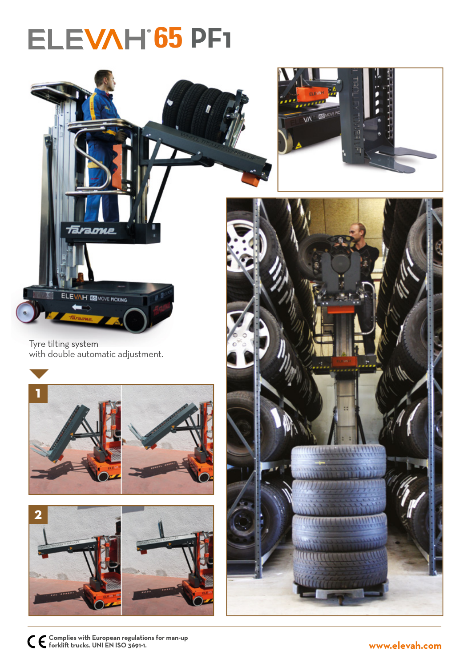## **ELEVAH 65 PF1**



Tyre tilting system with double automatic adjustment.